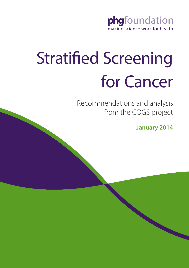

# Stratified Screening for Cancer

Recommendations and analysis from the COGS project

**January 2014**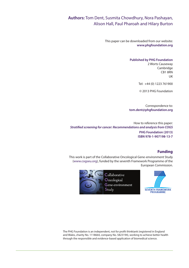# **Authors:** Tom Dent, Susmita Chowdhury, Nora Pashayan, Alison Hall, Paul Pharoah and Hilary Burton

This paper can be downloaded from our website: **www.phgfoundation.org**

#### **Published by PHG Foundation**

2 Worts Causeway **Cambridge** CB1 8RN UK

Tel: +44 (0) 1223 761900

© 2013 PHG Foundation

Correspondence to: **tom.dent@phgfoundation.org**

How to reference this paper: *Stratified screening for cancer: Recommendations and analysis from COGS* **PHG Foundation (2013) ISBN 978-1-907198-13-7**

#### **Funding**

This work is part of the Collaborative Oncological Gene-environment Study (www.cogseu.org), funded by the seventh Framework Programme of the European Commission.



Collaborative Oncological Gene-environment Study



The PHG Foundation is an independent, not for profit thinktank (registered in England and Wales, charity No. 1118664, company No. 5823194), working to achieve better health through the responsible and evidence-based application of biomedical science.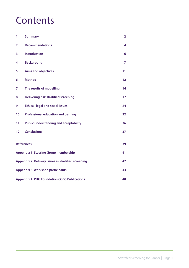# **Contents**

| 1.                                                        | <b>Summary</b>                                | $\overline{2}$  |
|-----------------------------------------------------------|-----------------------------------------------|-----------------|
| 2.                                                        | <b>Recommendations</b>                        | 4               |
| 3.                                                        | <b>Introduction</b>                           | 6               |
| 4.                                                        | <b>Background</b>                             | $\overline{7}$  |
| 5.                                                        | <b>Aims and objectives</b>                    | 11              |
| 6.                                                        | <b>Method</b>                                 | 12 <sub>2</sub> |
| 7.                                                        | The results of modelling                      | 14              |
| 8.                                                        | <b>Delivering risk-stratified screening</b>   | 17              |
| 9.                                                        | <b>Ethical, legal and social issues</b>       | 24              |
| 10.                                                       | <b>Professional education and training</b>    | 32              |
| 11.                                                       | <b>Public understanding and acceptability</b> | 36              |
| 12.                                                       | <b>Conclusions</b>                            | 37              |
| <b>References</b><br>39                                   |                                               |                 |
| <b>Appendix 1: Steering Group membership</b>              |                                               | 41              |
| Appendix 2: Delivery issues in stratified screening       |                                               | 42              |
| <b>Appendix 3: Workshop participants</b>                  |                                               | 43              |
| <b>Appendix 4: PHG Foundation COGS Publications</b><br>48 |                                               |                 |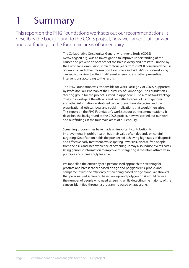# 1 Summary

This report on the PHG Foundation's work sets out our recommendations. It describes the background to the COGS project, how we carried out our work and our findings in the four main areas of our enquiry.

> The Collaborative Oncological Gene-environment Study (COGS) (www.cogseu.org) was an investigation to improve understanding of the causes and prevention of cancer of the breast, ovary and prostate. Funded by the European Commission, it ran for four years from 2009. It concerned the use of genomic and other information to estimate individuals' risk of developing cancer, with a view to offering different screening and other preventive interventions according to the results.

> The PHG Foundation was responsible for Work Package 7 of COGS, supported by Professor Paul Pharoah of the University of Cambridge. The Foundation's steering group for the project is listed in Appendix 1. The aim of Work Package 7 was to investigate the efficacy and cost-effectiveness of using genomic and other information in stratified cancer prevention strategies, and the organisational, ethical, legal and social implications that would then arise. This report on the PHG Foundation's work sets out our recommendations. It describes the background to the COGS project, how we carried out our work and our findings in the four main areas of our enquiry.

> Screening programmes have made an important contribution to improvements in public health, but their value often depends on careful targeting. Stratification holds the prospect of achieving high rates of diagnosis and effective early treatment, while sparing lower risk, disease-free people from the risks and inconvenience of screening. It may also reduce overall costs. Using genomic information to improve this targeting is therefore attractive in principle and increasingly feasible.

> We modelled the efficiency of a personalised approach to screening for prostate and breast cancer based on age and polygenic risk-profile, and compared it with the efficiency of screening based on age alone. We showed that personalised screening based on age and polygenic risk would reduce the number of people who need screening while detecting the majority of the cancers identified through a programme based on age alone.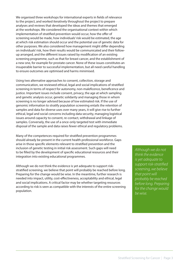We organised three workshops for international experts in fields of relevance to the project, and worked iteratively throughout the project to prepare analyses and reviews that developed the ideas and themes that emerged at the workshops. We considered the organisational context within which implementation of stratified prevention would occur, how the offer of screening would be made, how individuals' risk would be estimated, the age at which risk estimation should occur and the potential use of genetic data for other purposes. We also considered how management might differ depending on individuals' risk, how their results would be communicated and their followup arranged, and the different issues raised by modification of an existing screening programme, such as that for breast cancer, and the establishment of a new one, for example for prostate cancer. None of these issues constitutes an insuperable barrier to successful implementation, but all need careful handling to ensure outcomes are optimised and harms minimised.

Using two alternative approaches to consent, collection, storage and communication, we reviewed ethical, legal and social implications of stratified screening in terms of respect for autonomy, non-maleficence, beneficence and justice. Important issues include consent, privacy, the age at which sampling and genetic analysis occur, genetic solidarity and managing those in whom screening is no longer advised because of low estimated risk. If the use of genomic information to stratify population screening entails the retention of samples and data for diverse uses over many years, it will give rise to further ethical, legal and social concerns including data security, managing logistical issues around capacity to consent, re-contact, withdrawal and linkage of samples. Conversely, the use of a once-only targeted test with immediate disposal of the sample and data raises fewer ethical and regulatory problems.

Many of the competences required for stratified prevention programmes should already be present in the current health professional workforce. Gaps arise in those specific elements relevant to stratified prevention and the inclusion of genetic testing in initial risk assessment. Such gaps will need to be filled by the development of specific educational resources and their integration into existing educational programmes.

Although we do not think the evidence is yet adequate to support riskstratified screening, we believe that point will probably be reached before long. Preparing for the change would be wise. In the meantime, further research is needed into impact, utility, cost-effectiveness, acceptability and ethical, legal and social implications. A critical factor may be whether targeting resources according to risk is seen as compatible with the interests of the entire screening population.

*Although we do not think the evidence is yet adequate to support risk-stratified screening, we believe that point will probably be reached before long. Preparing for the change would be wise.*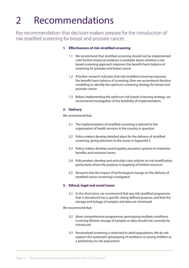# 2 Recommendations

Key recommendation: that decision-makers prepare for the introduction of risk-stratified screening for breast and prostate cancer.

#### **1. Effectiveness of risk-stratified screening**

- 1.1 We recommend that stratified screening should not be implemented until further empirical evidence is available about whether a riskbased screening approach improves the benefit-harm balance of screening for prostate and breast cancer
- 1.2 If further research indicates that risk-stratified screening improves the benefit-harm balance of screening, then we recommend decision modelling to identify the optimum screening strategy for breast and prostate cancer
- 1.3 Before implementing the optimum risk-based screening strategy, we recommend investigation of the feasibility of implementation.

#### **2. Delivery**

We recommend that:

- 2.1 The implementation of stratified screening is tailored to the organisation of health services in the country in question
- 2.2 Policy-makers develop detailed plans for the delivery of stratified screening, giving attention to the issues in Appendix 2
- 2.3 Policy-makers develop sound quality assurance systems to maximise benefits and minimise harms
- 2.4 Policymakers develop and articulate clear policies on risk stratification, particularly where the purpose is targeting of limited resources
- 2.5 Research into the impact of technological change on the delivery of stratified cancer screening is instigated.

#### **3. Ethical, legal and social issues**

3.1 In the short term, we recommend that any risk-stratified programme that is introduced has a specific clearly defined purpose, and that the storage and linkage of samples and data are minimised.

We recommend that:

- 3.2 More comprehensive programmes genotyping multiple conditions involving lifetime storage of samples or data should not currently be introduced
- 3.3 Personalised screening is restricted to adult populations. We do not support the systematic genotyping of newborns or young children as a preliminary to risk assessment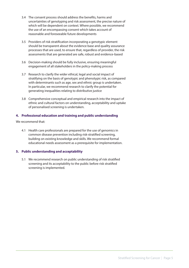- 3.4 The consent process should address the benefits, harms and uncertainties of genotyping and risk assessment, the precise nature of which will be dependent on context. Where possible, we recommend the use of an encompassing consent which takes account of reasonable and foreseeable future developments
- 3.5 Providers of risk stratification incorporating a genotypic element should be transparent about the evidence base and quality assurance processes that are used, to ensure that, regardless of provider, the risk assessments that are generated are safe, robust and evidence-based
- 3.6 Decision-making should be fully inclusive, ensuring meaningful engagement of all stakeholders in the policy-making process
- 3.7 Research to clarify the wider ethical, legal and social impact of stratifying on the basis of genotypic and phenotypic risk, as compared with determinants such as age, sex and ethnic group is undertaken. In particular, we recommend research to clarify the potential for generating inequalities relating to distributive justice
- 3.8 Comprehensive conceptual and empirical research into the impact of ethnic and cultural factors on understanding, acceptability and uptake of personalised screening is undertaken.

#### **4. Professional education and training and public understanding**

We recommend that:

4.1 Health care professionals are prepared for the use of genomics in common disease prevention including risk-stratified screening, building on existing knowledge and skills. We recommend formal educational needs assessment as a prerequisite for implementation.

#### **5. Public understanding and acceptability**

5.1 We recommend research on public understanding of risk stratified screening and its acceptability to the public before risk stratified screening is implemented.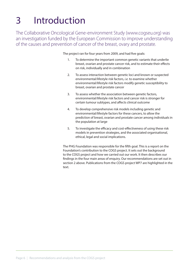# 3 Introduction

The Collaborative Oncological Gene-environment Study (www.cogseu.org) was an investigation funded by the European Commission to improve understanding of the causes and prevention of cancer of the breast, ovary and prostate.

The project ran for four years from 2009, and had five goals:

- 1. To determine the important common genetic variants that underlie breast, ovarian and prostate cancer risk, and to estimate their effects on risk, individually and in combination
- 2. To assess interaction between genetic loci and known or suspected environmental/lifestyle risk factors, *i.e.* to examine whether environmental/lifestyle risk factors modify genetic susceptibility to breast, ovarian and prostate cancer
- 3. To assess whether the association between genetic factors, environmental/lifestyle risk factors and cancer risk is stronger for certain tumour subtypes, and affects clinical outcome
- 4. To develop comprehensive risk models including genetic and environmental/lifestyle factors for these cancers, to allow the prediction of breast, ovarian and prostate cancer among individuals in the population at large
- 5. To investigate the efficacy and cost-effectiveness of using these risk models in prevention strategies, and the associated organisational, ethical, legal and social implications.

The PHG Foundation was responsible for the fifth goal. This is a report on the Foundation's contribution to the COGS project. It sets out the background to the COGS project and how we carried out our work. It then describes our findings in the four main areas of enquiry. Our recommendations are set out in section 2 above. Publications from the COGS project WP7 are highlighted in the text.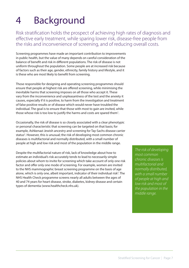# 4 Background

Risk stratification holds the prospect of achieving high rates of diagnosis and effective early treatment, while sparing lower risk, disease-free people from the risks and inconvenience of screening, and of reducing overall costs.

Screening programmes have made an important contribution to improvements in public health, but the value of many depends on careful consideration of the balance of benefit and risk in different populations. The risk of disease is not uniform throughout the population. Some people are at increased risk because of factors such as their age, gender, ethnicity, family history and lifestyle, and it is these who are most likely to benefit from screening.

Those responsible for designing and operating screening programmes should ensure that people at highest risk are offered screening, while minimising the inevitable harms that screening imposes on all those who accept it. These vary from the inconvenience and unpleasantness of the test and the anxiety it causes, especially if it is positive, to harm from the investigation and treatment of false positive results or of disease which would never have troubled the individual. The goal is to ensure that those with most to gain are invited, while those whose risk is too low to justify the harms and costs are spared them<sup>1</sup>.

Occasionally, the risk of disease is so closely associated with a clear phenotypic or personal characteristic that screening can be targeted on that basis; for example, Ashkenazi Jewish ancestry and screening for Tay-Sachs disease carrier status<sup>2</sup>. However, this is unusual; the risk of developing most common chronic diseases is multifactorial and normally distributed, with a small number of people at high and low risk and most of the population in the middle range.

Despite the multifactorial nature of risk, lack of knowledge about how to estimate an individual's risk accurately tends to lead to necessarily simple policies about whom to invite for screening which take account of only one risk factor and offer only one mode of screening. For example, women are invited to the NHS mammographic breast screening programme on the basis of age alone, which is only one, albeit important, indicator of their individual risk<sup>3</sup>. The NHS Health Check programme screens nearly all adults between the ages of 40 and 74 years for heart disease, stroke, diabetes, kidney disease and certain types of dementia (www.healthcheck.nhs.uk).

*The risk of developing most common chronic diseases is multifactorial and normally distributed, with a small number of people at high and low risk and most of the population in the middle range.*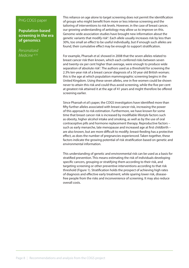#### PHG COGS paper

**Population-based screening in the era of genomics**

*Personalized Medicine* 4.10 This reliance on age alone to target screening does not permit the identification of groups who might benefit from more or less intense screening and the tailoring of interventions to risk levels. However, in the case of breast cancer, our growing understanding of aetiology may allow us to improve on this. Genome-wide association studies have brought new information about the genetic variants that modify risk<sup>4</sup>. Each allele usually increases risk by less than 30%, too small an effect to be useful individually, but if enough such alleles are found, their cumulative effect may be enough to support stratification.

For example, Pharoah *et al.* showed in 2008 that the seven alleles related to breast cancer risk then known, which each conferred risks between seven and twenty-six per cent higher than average, were enough to produce wide separation of absolute risk<sup>5</sup>. The authors used as a threshold for screening the 2.3% ten-year risk of a breast cancer diagnosis of a 50 year old British woman; this is the age at which population mammographic screening begins in the United Kingdom. Using these seven alleles, one in five women could be shown never to attain this risk and could thus avoid screening, while the five per cent at greatest risk attained it at the age of 41 years and might therefore be offered screening earlier.

Since Pharoah *et al's* paper, the COGS investigators have identified more than fifty further alleles associated with breast cancer risk, increasing the power of this approach to risk estimation. Furthermore, we have known for some time that breast cancer risk is increased by modifiable lifestyle factors such as obesity, higher alcohol intake and smoking, as well as by the use of oral contraceptive pills and hormone replacement therapy. Reproductive factors – such as early menarche, late menopause and increased age at first childbirth – are also known, but are more difficult to modify; breast-feeding has a protective effect, as does the number of pregnancies experienced. Taken together, these factors indicate the growing potential of risk stratification based on genetic and environmental information.

This understanding of genetic and environmental risk can be used as a basis for stratified prevention. This means estimating the risk of individuals developing specific cancers, grouping or stratifying them according to their risk, and targeting screening or other preventive interventions according to that risk threshold (Figure 1). Stratification holds the prospect of achieving high rates of diagnosis and effective early treatment, while sparing lower risk, diseasefree people from the risks and inconvenience of screening. It may also reduce overall costs.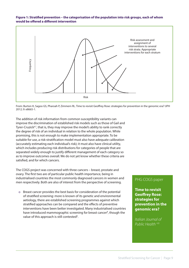#### **Figure 1: Stratified prevention – the categorisation of the population into risk groups, each of whom would be offered a different intervention**



From: Burton H, Sagoo GS, Pharoah P, Zimmern RL. Time to revisit Geoffrey Rose: strategies for prevention in the genomic era? IJPH 2012; 9: e8665-1.

The addition of risk information from common susceptibility variants can improve the discrimination of established risk models such as those of Gail and Tyrer-Cruzick<sup>6,7</sup>, that is, they may improve the model's ability to rank correctly the degree of risk of an individual in relation to the whole population. While promising, this is not enough to make implementation appropriate. To be suitable for use, a risk-stratification model must also have adequate calibration (accurately estimating each individual's risk); it must also have clinical utility, which includes producing risk distributions for categories of people that are separated widely enough to justify different management of each category so as to improve outcomes overall. We do not yet know whether these criteria are satisfied, and for which cancers.

The COGS project was concerned with three cancers – breast, prostate and ovary. The first two are of particular public health importance, being in industrialised countries the most commonly diagnosed cancers in women and men respectively. Both are also of interest from the perspective of screening.

o Breast cancer provides the best basis for consideration of the potential of stratified screening: more is known of its genetic and environmental aetiology, there are established screening programmes against which stratified approaches can be compared and the effects of preventive interventions have been better investigated. Many industrialised countries have introduced mammographic screening for breast cancer<sup>8</sup>, though the value of this approach is still contested<sup>9</sup>.

#### PHG COGS paper

**Time to revisit Geoffrey Rose: strategies for prevention in the genomic era?**

*Italian Journal of Public Health* 4.8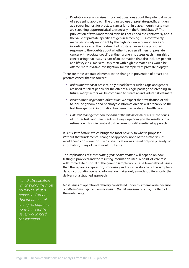o Prostate cancer also raises important questions about the potential value of a screening approach. The organised use of prostate-specific antigen as a screening test for prostate cancer is not in place, though many men are screening opportunistically, especially in the United States<sup>10</sup>. The publication of two randomised trials has not ended the controversy about the value of prostate-specific antigen in screening<sup>11,12</sup>, a controversy made particularly important by the high incidence of impotence and incontinence after the treatment of prostate cancer. One proposed response to the doubts about whether to screen all men for prostate cancer with prostate-specific antigen alone is to assess each man's risk of cancer using that assay as part of an estimation that also includes genetic and lifestyle risk markers. Only men with high estimated risk would be offered more invasive investigation, for example with prostate biopsy<sup>13</sup>.

There are three separate elements to the change in prevention of breast and prostate cancer that we foresee:

- o *Risk stratification:* at present, only broad factors such as age and gender are used to select people for the offer of a single package of screening. In future, many factors will be combined to create an individual risk estimate
- o *Incorporation of genomic information:* we expect the stratification of risk to include genomic and phenotypic information; this will probably be the first time genomic information has been used widely in health care
- o *Different management on the basis of the risk assessment result:* the series of further tests and treatments will vary depending on the results of risk estimation. This is in contrast to the current undifferentiated approach.

It is *risk stratification* which brings the most novelty to what is proposed. Without that fundamental change of approach, none of the further issues would need consideration. Even if stratification was based only on phenotypic information, many of them would still arise.

The implications of *incorporating genetic information* will depend on how testing is provided and the resulting information used. A point-of-care test with immediate disposal of the genetic sample would raise fewer ethical issues than the separate acquisition, processing and possible storage of the sample or data. Incorporating genetic information makes only a modest difference to the delivery of a stratified approach.

*It is risk stratification which brings the most novelty to what is proposed. Without that fundamental change of approach, none of the further issues would need consideration.*

Most issues of operational delivery considered under this theme arise because of *different management on the basis of the risk assessment result*, the third of these elements.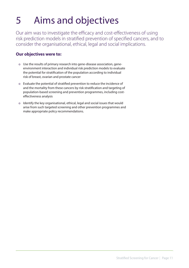# 5 Aims and objectives

Our aim was to investigate the efficacy and cost-effectiveness of using risk prediction models in stratified prevention of specified cancers, and to consider the organisational, ethical, legal and social implications.

# **Our objectives were to:**

- o Use the results of primary research into gene-disease association, geneenvironment interaction and individual risk prediction models to evaluate the potential for stratification of the population according to individual risk of breast, ovarian and prostate cancer
- o Evaluate the potential of stratified prevention to reduce the incidence of and the mortality from these cancers by risk stratification and targeting of population-based screening and prevention programmes, including costeffectiveness analysis
- o Identify the key organisational, ethical, legal and social issues that would arise from such targeted screening and other prevention programmes and make appropriate policy recommendations.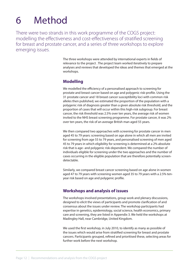# 6 Method

There were two strands in this work programme of the COGS project: modelling the effectiveness and cost-effectiveness of stratified screening for breast and prostate cancer, and a series of three workshops to explore emerging issues.

> The three workshops were attended by international experts in fields of relevance to the project . The project team worked iteratively to prepare analyses and reviews that developed the ideas and themes that emerged at the workshops.

### **Modelling**

We modelled the efficiency of a personalised approach to screening for prostate and breast cancer based on age and polygenic risk-profile. Using the 31 prostate cancer and 18 breast cancer susceptibility loci with common risk alleles then published, we estimated the proportion of the population with a polygenic risk of diagnosis greater than a given absolute risk threshold, and the proportion of cases that will occur within this high-risk subgroup. For breast cancer, the risk threshold was 2.5% over ten years, the average risk of women invited to the NHS breast screening programme. For prostate cancer, it was 2% over ten years, the risk of an average British man aged 55 years.

We then compared two approaches with screening for prostate cancer in men aged 45 to 79 years: screening based on age alone in which all men are invited for screening from age 55 to 79 years, and personalised screening of men aged 45 to 79 years in which eligibility for screening is determined at a 2% absolute risk that is age- and polygenic risk-dependent. We compared the number of individuals eligible for screening under the two approaches and the number of cases occurring in the eligible population that are therefore potentially screendetectable.

Similarly, we compared breast cancer screening based on age alone in women aged 47 to 79 years with screening women aged 35 to 79 years with a 2.5% tenyear risk based on age and polygenic profile.

### **Workshops and analysis of issues**

The workshops involved presentations, group work and plenary discussions, designed to elicit the views of participants and promote clarification of and consensus about the issues under review. The workshop participants had expertise in genetics, epidemiology, social science, health economics, primary care and screening, they are listed in Appendix 3. We held the workshops at Madingley Hall, near Cambridge, United Kingdom.

We used the first workshop, in July 2010, to identify as many as possible of the issues which would arise from stratified screening for breast and prostate cancers. Participants grouped, refined and prioritised these, selecting areas for further work before the next workshop.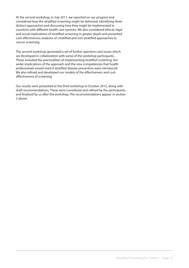At the second workshop, in July 2011, we reported on our progress and considered how the stratified screening might be delivered, identifying three distinct approaches and discussing how they might be implemented in countries with different health care systems. We also considered ethical, legal and social implications of stratified screening in greater depth and presented cost-effectiveness analyses on stratified and non-stratified approaches to cancer screening.

The second workshop generated a set of further questions and issues which we developed in collaboration with some of the workshop participants. These included the practicalities of implementing stratified screening, the wider implications of the approach and the new competencies that health professionals would need if stratified disease prevention were introduced. We also refined and developed our models of the effectiveness and costeffectiveness of screening.

Our results were presented at the third workshop in October 2012, along with draft recommendations. These were considered and refined by the participants, and finalised by us after the workshop. The recommendations appear in section 2 above.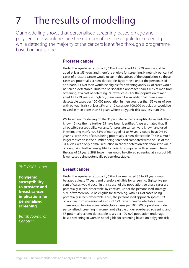# 7 The results of modelling

Our modelling shows that personalised screening based on age and polygenic risk would reduce the number of people eligible for screening while detecting the majority of the cancers identified through a programme based on age alone.

#### **Prostate cancer**

Under the age-based approach, 63% of men aged 45 to 79 years would be aged at least 55 years and therefore eligible for screening. Ninety-six per cent of cases of prostate cancer would occur in this subset of the population, so these cases are potentially screen-detectable. By contrast, under the personalised approach, 53% of men would be eligible for screening and 93% of cases would be screen-detectable. Thus, the personalised approach spares 10% of men from screening, at a cost of detecting 3% fewer cases. For the population of men aged 45 to 79 years in England, there would be an additional three screendetectable cases per 100,000 population in men younger than 55 years of age with polygenic risk at least 2%, and 12 cases per 100,000 population would be missed in men older than 55 years whose polygenic risk was less than 2%.

We based our modelling on the 31 prostate cancer susceptibility variants then known. Since then, a further 23 have been identified<sup>14</sup>. We estimated that, if all possible susceptibility variants for prostate cancer were known and used in estimating men's risk, 35% of men aged 45 to 79 years would be at 2% 10 year risk with 90% of cases being potentially screen-detectable. This is a much larger reduction in the number being screened compared with the use of the 31 alleles, with only a small reduction in cancer detection; this shows the value of identifying further susceptibility variants: compared with screening from the age of 55 years, 28% fewer men would be offered screening at a cost of 6% fewer cases being potentially screen-detectable.

#### PHG COGS paper

**Polygenic susceptibility to prostate and breast cancer: implications for personalised screening**

*British Journal of Cancer* 4.9

#### **Breast cancer**

Under the age-based approach, 65% of women aged 35 to 79 years would be aged at least 47 years and therefore eligible for screening. Eighty-five per cent of cases would occur in this subset of the population, so these cases are potentially screen-detectable. By contrast, under the personalised strategy, 50% of women would be eligible for screening, with 73% of cases being potentially screen-detectable. Thus, the personalised approach spares 15% of women from screening at a cost of 12% fewer screen-detectable cases. There would be nine screen-detectable cases per 100,000 population under personalised screening in women not eligible under age-based screening and 38 potentially screen-detectable cases per 100,000 population under agebased screening in women not eligible for screening based on polygenic risk.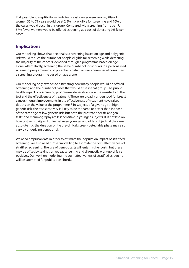If all possible susceptibility variants for breast cancer were known, 28% of women 35 to 79 years would be at 2.5% risk eligible for screening and 76% of the cases would occur in this group. Compared with screening from age 47, 37% fewer women would be offered screening at a cost of detecting 9% fewer cases.

# **Implications**

Our modelling shows that personalised screening based on age and polygenic risk would reduce the number of people eligible for screening while detecting the majority of the cancers identified through a programme based on age alone. Alternatively, screening the same number of individuals in a personalised screening programme could potentially detect a greater number of cases than a screening programme based on age alone.

Our modelling only extends to estimating how many people would be offered screening and the number of cases that would arise in that group. The public health impact of a screening programme depends also on the sensitivity of the test and the effectiveness of treatment. These are broadly understood for breast cancer, though improvements in the effectiveness of treatment have raised doubts on the value of the programme<sup>15</sup>. In subjects of a given age at high genetic risk, the test sensitivity is likely to be the same or better than in those of the same age at low genetic risk, but both the prostate-specific antigen test<sup>16</sup> and mammography are less sensitive in younger subjects. It is not known how test sensitivity will differ between younger and older subjects at the same absolute risk; the duration of the pre-clinical, screen-detectable phase may also vary by underlying genetic risk.

We need empirical data in order to estimate the population impact of stratified screening. We also need further modelling to estimate the cost-effectiveness of stratified screening. The use of genetic tests will entail higher costs, but these may be offset by savings on repeat screening and diagnostic work-up of false positives. Our work on modelling the cost-effectiveness of stratified screening will be submitted for publication shortly.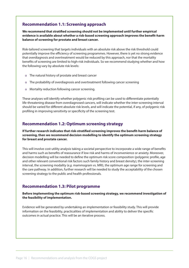# **Recommendation 1.1: Screening approach**

**We recommend that stratified screening should not be implemented until further empirical evidence is available about whether a risk-based screening approach improves the benefit-harm balance of screening for prostate and breast cancer.**

Risk-tailored screening that targets individuals with an absolute risk above the risk threshold could potentially improve the efficiency of screening programmes. However, there is yet no strong evidence that overdiagnosis and overtreatment would be reduced by this approach, nor that the mortality benefits of screening are limited to high-risk individuals. So we recommend studying whether and how the following vary by absolute risk levels:

- o The natural history of prostate and breast cancer
- o The probability of overdiagnosis and overtreatment following cancer screening
- o Mortality reduction following cancer screening.

These analyses will identify whether polygenic risk profiling can be used to differentiate potentially life-threatening disease from overdiagnosed cancers, will indicate whether the inter-screening interval should be varied for different absolute risk levels, and will indicate the potential, if any, of polygenic risk profiling in improving sensitivity or specificity of the screening test.

# **Recommendation 1.2: Optimum screening strategy**

**If further research indicates that risk-stratified screening improves the benefit-harm balance of screening, then we recommend decision modelling to identify the optimum screening strategy for breast and prostate cancer.** 

This will involve cost-utility analysis taking a societal perspective to incorporate a wide range of benefits and harms such as benefits of reassurance if low risk and harms of inconvenience or anxiety. Moreover, decision modelling will be needed to define the optimum risk score composition (polygenic profile, age and other relevant conventional risk factors such family history and breast density), the inter-screening interval, the screening modality (*e.g.* mammogram vs. MRI), the optimum age range for screening and the care pathway. In addition, further research will be needed to study the acceptability of the chosen screening strategy to the public and health professionals.

### **Recommendation 1.3: Pilot programme**

#### **Before implementing the optimum risk-based screening strategy, we recommend investigation of the feasibility of implementation.**

Evidence will be generated by undertaking an implementation or feasibility study. This will provide information on the feasibility, practicalities of implementation and ability to deliver the specific outcomes in actual practice. This will be an iterative process.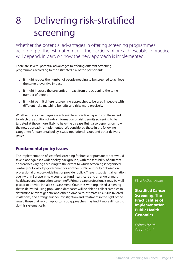# 8 Delivering risk-stratified screening

Whether the potential advantages in offering screening programmes according to the estimated risk of the participant are achieveable in practice will depend, in part, on how the new approach is implemented.

There are several potential advantages to offering different screening programmes according to the estimated risk of the participant:

- o It might reduce the number of people needing to be screened to achieve the same preventive impact
- o It might increase the preventive impact from the screening the same number of people
- o It might permit different screening approaches to be used in people with different risks, matching benefits and risks more precisely.

Whether these advantages are achievable in practice depends on the extent to which the addition of extra information on risk permits screening to be targeted at those more likely to have the disease. But it also depends on how the new approach is implemented. We considered these in the following categories: fundamental policy issues, operational issues and other delivery issues.

# **Fundamental policy issues**

The implementation of stratified screening for breast or prostate cancer would take place against a wider policy background, with the feasibility of different approaches varying according to the extent to which screening is organised centrally or locally, by government or another public authority or based on professional practice guidelines or provider policy. There is substantial variation even within Europe in how countries fund healthcare and arrange primary healthcare and population screening<sup>17</sup>. Primary care professionals may be well placed to provide initial risk assessment. Countries with organised screening that is delivered using population databases will be able to collect samples to determine relevant genetic and other biomarkers, estimate risk, issue tailored invitations, and arrange further investigation and treatment in the light of the result; those that rely on opportunistic approaches may find it more difficult to do this systematically.

#### PHG COGS paper

**Stratified Cancer Screening: The Practicalities of Implementation. Public Health Genomics**

*Public Health Genomics 4.6*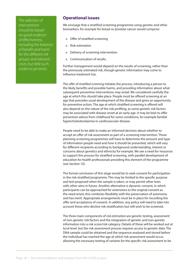*The selection of interventions should be based on good evidence of effectiveness, including the balance of benefit and harm for the different risk groups and relevant costs, but little such evidence yet exists.* 

#### **Operational issues**

We envisage that a stratified screening programme using genetic and other biomarkers, for example for breast or prostate cancer would comprise:

- o Offer of stratified screening
- o Risk estimation
- o Delivery of screening intervention
- o Communication of results.

Further management would depend on the results of screening, rather than the previously estimated risk, though genetic information may come to influence treatment too.

The *offer of stratified screening* initiates the process, introducing a person to the likely benefits and possible harms, and providing information about what subsequent preventive interventions may entail. We considered carefully the age at which this should take place. People must be offered screening at an age that precedes usual development of the disease and gives an opportunity for preventive action. The age at which stratified screening is offered will also depend on the nature of the risk profiling, as some genetic risk factors may be associated with disease onset at an early age. It may be best to offer prevention advice from childhood for some conditions, for example familial hypercholesterolaemia in cardiovascular disease.

People need to be able to make an informed decision about whether to accept an offer of risk assessment as part of a screening intervention. Those planning screening programmes will have to determine the amount and type of information people need and how it should be presented, which will vary for different recipients according to background understanding, interest or concerns about genetics and ethnicity for example. We see a need for resources to support this process for stratified screening, with parallel development of education for health professionals providing this element of the programme (see Section 10).

The formal conclusion of this stage would be to seek consent for participation in the risk-stratified programme. This may be limited to the specific purpose and test proposed when the sample is taken, or may permit other tests with other aims in future. Another alternative is dynamic consent, in which participants can be approached for extensions to the original consent as the need arises; this combines flexibility with the preservation of autonomy and has merit. Appropriate arrangements must be in place for recording the offer and acceptance of consent. In addition, any policy will need to take into account those who decline risk stratification but still wish to be screened.

The three main components of *risk estimation* are genetic testing, assessment of non-genetic risk factors and the integration of genetic and non-genetic information into a risk score/risk category. Details of these will be worked out at local level, but the risk assessment process requires access to genetic data. The DNA sample could be obtained and the sequence analysed and stored before the individual has reached the age at which risk assessment would occur, allowing the necessary testing of variants for the specific risk assessment to be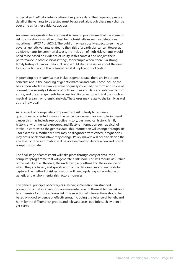undertaken *in silico* by interrogation of sequence data. The scope and precise detail of the variants to be tested must be agreed, although these may change over time as further evidence accrues.

An immediate question for any breast screening programme that uses genetic risk stratification is whether to test for high-risk alleles such as deleterious mutations in *BRCA1* or *BRCA2*. The public may realistically expect screening to cover all genetic variants related to their risk of a particular cancer. However, as with variants for common disease, the inclusion of high-risk variants would need to be based on evidence of utility in this context and not just their performance in other clinical settings, for example where there is a strong family history of cancer. Their inclusion would also raise issues about the need for counselling about the potential familial implications of testing.

In providing *risk estimation* that includes genetic data, there are important concerns about the handling of genetic material and data. These include the basis upon which the samples were originally collected, the form and scope of consent, the security of storage of both samples and data and safeguards from abuse, and the arrangements for access for clinical or non-clinical uses such as medical research or forensic analysis. These uses may relate to the family as well as the individual.

Assessment of non-genetic components of risk is likely to require a questionnaire oriented towards the cancer concerned. For example, in breast cancer this may include reproductive history, past medical history, family history, environmental exposures, and lifestyle information such as alcohol intake. In contrast to the genetic data, this information will change through life – for example, a mother or sister may be diagnosed with cancer, pregnancies may occur or alcohol intake may change. Policy-makers will need to decide the age at which this information will be obtained and to decide when and how it is kept up-to-date.

The final stage of assessment will take place through entry of data into a computer programme that will generate a risk score. This will require assurance of the validity of all the data, the underlying algorithms and the evidence on which they are based, and specification of the data sources and methods for capture. The method of risk estimation will need updating as knowledge of genetic and environmental risk factors increases.

The general principle of *delivery of screening interventions* in stratified prevention is that interventions are more intensive for those at higher risk and less intensive for those at lower risk. The selection of interventions should be based on good evidence of effectiveness, including the balance of benefit and harm for the different risk groups and relevant costs, but little such evidence yet exists.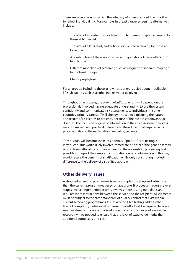There are several ways in which the intensity of screening could be modified to reflect individual risk. For example, in breast cancer screening, alternatives include:

- o The offer of an earlier start or later finish to mammographic screening for those at higher risk
- o The offer of a later start, earlier finish or even no screening for those at lower risk
- o A combination of these approaches with gradation of these offers from high to low
- o Different modalities of screening such as magnetic resonance imaging18 for high-risk groups
- o Chemoprophylaxis.

For all groups, including those at low risk, general advice about modifiable lifestyle factors such as alcohol intake would be given.

Throughout the process, the *communication of results* will depend on the professionals involved having adequate understanding to use the system confidently and communicate risk assessments to individuals. In some countries, primary care staff will already be used to explaining the nature and results of risk scores to patients, because of their use in cardiovascular diseases. The inclusion of genetic information in the risk assessment process may not make much practical difference to the educational requirements for professionals and the explanation needed by patients.

These issues will become even less onerous if point-of-care testing is introduced. This would likely involve immediate disposal of the genetic sample, raising fewer ethical issues than separating the acquisition, processing and possible storage of the sample. Incorporating genetic information in this way would secure the benefits of stratification while only constituting modest difference to the delivery of a stratified approach.

#### **Other delivery issues**

A stratified screening programme is more complex to set up and administer than the current programmes based on age alone. It proceeds through several stages over a longer period of time, involves more testing modalities and requires more interactions between the service and the recipient. All elements must be subject to the same standards of quality control that exist within current screening programmes. Issues around DNA testing add a further layer of complexity. Substantial organisational effort will be required to adapt services already in place or to develop new ones, and a range of evaluative research will be needed to ensure that the level of extra value merits the additional complexity and cost.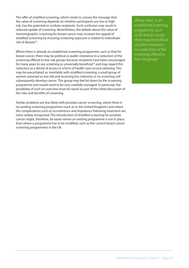The offer of stratified screening, which needs to convey the message that the value of screening depends on whether participants are low or high risk, has the potential to confuse recipients. Such confusion may result in reduced uptake of screening. Nevertheless, the debate about the value of mammographic screening for breast cancer may increase the appeal of stratified screening by ensuring screening exposure is related to individuals' risk of disease19.

Where there is already an established screening programme, such as that for breast cancer, there may be political or public resistance to a reduction of the screening offered to low-risk groups because recipients have been encouraged for many years to see screening as universally beneficial<sup>20</sup> and may regard this reduction as a denial of access or a form of health-care service rationing. This may be exacerbated as, inevitably with stratified screening, a small group of women assessed as low risk and receiving less intensive or no screening will subsequently develop cancer. This group may feel let down by the screening programme and would need to be very carefully managed. In particular, the possibility of such an outcome must be raised as part of the initial discussion of the risks and benefits of screening.

Similar problems are less likely with prostate cancer screening, where there is no existing screening programme (such as in the United Kingdom) and where the complications such as incontinence and impotence following treatment are more widely recognised. The introduction of stratified screening for prostate cancer might, therefore, be easier where an existing programme is not in place than where a programme has to be modified, such as the current breast cancer screening programmes in the UK.

*Where there is an established screening programme, such as for breast cancer, there may be political or public resistance to a reduction of the screening offered to low-risk groups*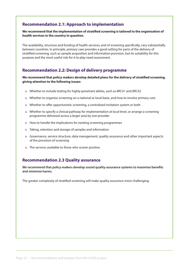# **Recommendation 2.1: Approach to implementation**

#### **We recommend that the implementation of stratified screening is tailored to the organisation of health services in the country in question.**

The availability, structure and funding of health services, and of screening specifically, vary substantially between countries. In principle, primary care provides a good setting for parts of the delivery of stratified screening, such as sample acquisition and information provision, but its suitability for this purpose and the most useful role for it to play need assessment.

### **Recommendation 2.2: Design of delivery programme**

#### **We recommend that policy-makers develop detailed plans for the delivery of stratified screening, giving attention to the following issues:**

- o Whether to include testing for highly penetrant alleles, such as *BRCA1* and *BRCA2*
- o Whether to organise screening on a national or local basis, and how to involve primary care
- o Whether to offer opportunistic screening, a centralised invitation system or both
- o Whether to specify a clinical pathway for implementation at local level, or arrange a screening programme delivered across a larger area by one provider
- o How to handle the implications for existing screening programmes
- o Taking, retention and storage of samples and information
- o Governance, service structure, data management, quality assurance and other important aspects of the provision of screening
- o The services available to those who screen positive.

### **Recommendation 2.3 Quality assurance**

**We recommend that policy-makers develop sound quality assurance systems to maximise benefits and minimise harms.**

The greater complexity of stratified screening will make quality assurance more challenging.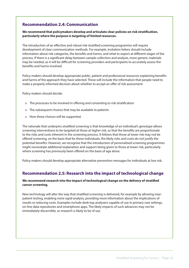## **Recommendation 2.4: Communication**

**We recommend that policymakers develop and articulate clear policies on risk stratification, particularly where the purpose is targeting of limited resources.**

The introduction of an effective and robust risk-stratified screening programme will require development of clear communication methods. For example, invitation letters should include information about risk categories, the benefits and harms, and what to expect at different stages of the process. If there is a significant delay between sample collection and analysis, more generic materials may be needed, as it will be difficult for screening providers and participants to accurately assess the benefits and harms involved.

Policy-makers should develop appropriate public, patient and professional resources explaining benefits and harms of the approach they have selected. These will include the information that people need to make a properly informed decision about whether to accept an offer of risk assessment.

Policy-makers should decide:

- o The processes to be involved in offering and consenting to risk stratification
- o The subsequent choices that may be available to patients
- o How those choices will be supported.

The rationale that underpins stratified screening is that knowledge of an individual's genotype allows screening interventions to be targeted at those at higher risk, so that the benefits are proportionate to the risks and costs inherent in the screening process. It follows that those at lower risk may not be offered screening, on the basis that for these individuals, the likely risks and costs do not justify the potential benefits. However, we recognise that the introduction of personalised screening programmes might necessitate additional explanation and support being given to those at lower risk, particularly where screening has previously been offered on the basis of age alone.

Policy-makers should develop appropriate alternative prevention messages for individuals at low risk.

#### **Recommendation 2.5: Research into the impact of technological change**

#### **We recommend research into the impact of technological change on the delivery of stratified cancer screening.**

New technology will alter the way that stratified screening is delivered, for example by allowing nearpatient testing, enabling more rapid analysis, providing more information about the implications of results or reducing costs. Examples include desk-top analysers capable of use in primary care settings, on-line data repositories and smartphone apps. The likely impacts of such advances may not be immediately discernible, so research is likely to be of use.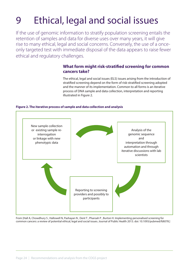# 9 Ethical, legal and social issues

If the use of genomic information to stratify population screening entails the retention of samples and data for diverse uses over many years, it will give rise to many ethical, legal and social concerns. Conversely, the use of a onceonly targeted test with immediate disposal of the data appears to raise fewer ethical and regulatory challenges.

# **What form might risk-stratified screening for common cancers take?**

The ethical, legal and social issues (ELS) issues arising from the introduction of stratified screening depend on the form of risk-stratified screening adopted and the manner of its implementation. Common to all forms is an iterative process of DNA sample and data collection, interpretation and reporting illustrated in Figure 2.

#### **Figure 2. The iterative process of sample and data collection and analysis**



From [Hall A, Chowdhury S , Hallowell N, Pashayan N , Dent T , Pharoah P , Burton H. Implementing personalised screening for common cancers: a review of potential ethical, legal and social issues. Journal of Public Health 2013. doi: 10.1093/pubmed/fdt078.]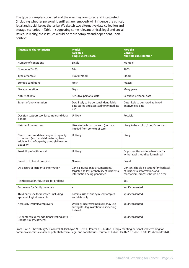The type of samples collected and the way they are stored and interpreted (including whether personal identifiers are removed) will influence the ethical, legal and social issues that arise. We sketch two alternative data collection and storage scenarios in Table 1, suggesting some relevant ethical, legal and social issues. In reality, these issues would be more complex and dependent upon context.

| <b>Illustrative characteristics</b>                                                                                                                | <b>Model A</b><br><b>Targeted</b><br><b>Single use/disposal</b>                                                  | <b>Model B</b><br><b>Generic</b><br><b>Multiple use/retention</b>                                            |
|----------------------------------------------------------------------------------------------------------------------------------------------------|------------------------------------------------------------------------------------------------------------------|--------------------------------------------------------------------------------------------------------------|
| Number of conditions                                                                                                                               | Single                                                                                                           | Multiple                                                                                                     |
| Number of SNP's                                                                                                                                    | 10's                                                                                                             | 100's                                                                                                        |
| Type of sample                                                                                                                                     | Buccal/blood                                                                                                     | Blood                                                                                                        |
| Storage conditions                                                                                                                                 | Fresh                                                                                                            | Frozen                                                                                                       |
| Storage duration                                                                                                                                   | Days                                                                                                             | Many years                                                                                                   |
| Nature of data                                                                                                                                     | Sensitive personal data                                                                                          | Sensitive personal data                                                                                      |
| Extent of anonymisation                                                                                                                            | Data likely to be personal identifiable<br>data stored and accessed for immediate<br>use                         | Data likely to be stored as linked<br>anonymised data                                                        |
| Decision support tool for sample and data<br>donors                                                                                                | Unlikely                                                                                                         | Possible                                                                                                     |
| Nature of the consent                                                                                                                              | Likely to be broad consent (perhaps<br>implied from context of care)                                             | Likely to be explicit/specific consent                                                                       |
| Need to accomodate changes in capacity<br>to consent (such as child maturing to an<br>adult, or loss of capacity through illness or<br>disability) | Unlikely                                                                                                         | Likely                                                                                                       |
| Possibility of withdrawal                                                                                                                          | Unlikely                                                                                                         | Opportunities and mechanisms for<br>withdrawal should be formalised                                          |
| Breadth of clinical question                                                                                                                       | Narrow                                                                                                           | <b>Broad</b>                                                                                                 |
| Disclosure of incidental information                                                                                                               | Clinical question is circumscribed/<br>targeted so less probability of incidental<br>information being generated | Consent should be sought for feedback<br>of incidental information, and<br>mechanism/process should be clear |
| Reinterrogation/future use for proband                                                                                                             | $\overline{\phantom{a}}$                                                                                         | Yes                                                                                                          |
| Future use for family members                                                                                                                      | $\overline{a}$                                                                                                   | Yes if consented                                                                                             |
| Third party use for research (including<br>epidemiological research)                                                                               | Possible use of anonymised samples<br>and data only                                                              | Yes if consented                                                                                             |
| Access by insurers/employers                                                                                                                       | Unlikely. Insurers/employers may use<br>surrogates (eg invitation to screening<br>instead)                       | Yes if consented                                                                                             |
| Re-contact (e.g. for additional testing or to<br>update risk assessments)                                                                          |                                                                                                                  | Yes if consented                                                                                             |

From [Hall A, Chowdhury S , Hallowell N, Pashayan N , Dent T , Pharoah P , Burton H. Implementing personalised screening for common cancers: a review of potential ethical, legal and social issues. Journal of Public Health 2013. doi: 10.1093/pubmed/fdt078.]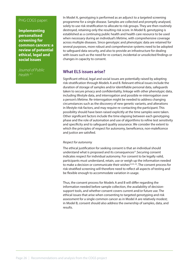#### PHG COGS paper:

**Implementing personalised screening for common cancers: a review of potential ethical, legal and social issues**

*Journal of Public Health* 4.1

In Model A, genotyping is performed as an adjunct to a targeted screening programme for a single disease. Samples are collected and promptly analysed, solely to use risk stratification to allocate to risk groups. They are then routinely destroyed, retaining only the resulting risk score. In Model B, genotyping is established as a continuing public health and health care resource to be used when necessary during an individual's lifetime, with comprehensive coverage across multiple diseases. Since genotypic and phenotypic data are retained for several purposes, more robust and comprehensive systems need to be adopted to safeguard data security, and also to provide an infrastructure for dealing with issues such as the need for re-contact, incidental or unsolicited findings or changes in capacity to consent.

# **What ELS issues arise?**

Significant ethical, legal and social issues are potentially raised by adopting risk-stratification through Models A and B. Relevant ethical issues include the duration of storage of samples and/or identifiable personal data, safeguards taken to secure privacy and confidentiality, linkage with other phenotypic data, including lifestyle data, and interrogation and possible re-interrogation over a person's lifetime. Re-interrogation might be needed to address changing circumstances such as the discovery of new genetic variants, and alterations in lifestyle risk-factors, and may require re-contacting the participant. This possibility should have been raised explicitly at the time samples were taken. Other significant factors include the time elapsing between each genotyping phase and the role of automation and use of algorithms to refine test sensitivity and specificity and to safeguard quality assurance. We consider the extent to which the principles of respect for autonomy, beneficence, non-maleficence and justice are satisfied.

#### *Respect for autonomy*

The ethical justification for seeking consent is that an individual should understand what is proposed and its consequences<sup>21</sup>. Securing consent indicates respect for individual autonomy. For consent to be legally valid, participants must understand, retain, use or weigh up the information needed to make a decision or communicate their wishes<sup>22,23, 24</sup>. The consent process for risk-stratified screening will therefore need to reflect all aspects of testing and be flexible enough to accommodate variation in usage.

Thus, the consent process for Models A and B will differ regarding the information needed before sample collection, the availability of decisionsupport tools, and whether consent covers current and/or future use. The ethical issues that arise when consenting to targeted genotyping and risk assessment for a single common cancer as in Model A are relatively modest; in Model B, consent should also address the ownership of samples, data, and results.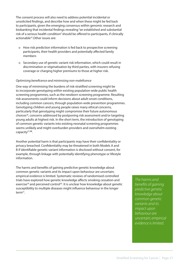The consent process will also need to address potential incidental or unsolicited findings, and describe how and when these might be fed back to participants, given the emerging consensus within genomic research and biobanking that incidental findings revealing "an established and substantial risk of a serious health condition" should be offered to participants, if clinically actionable<sup>25</sup>.Other issues are:

- o How risk prediction information is fed back to prospective screening participants, their health providers and potentially affected family members
- o Secondary use of genetic variant risk information, which could result in discrimination or stigmatisation by third parties, with insurers refusing coverage or charging higher premiums to those at higher risk.

#### *Optimising beneficence and minimising non-maleficence*

One way of minimising the burdens of risk-stratified screening might be to incorporate genotyping within existing population-wide public health screening programmes, such as the newborn screening programme. Resulting risk-assessments could inform decisions about adult-onset conditions, including common cancers, through population-wide prevention programmes. Genotyping children and young people raises many ethical concerns, particularly that genotyping might compromise their future autonomous choices26, concerns addressed by postponing risk assessment and/or targeting young adults at highest risk. In the short term, the introduction of genotyping of common genetic variants into existing neonatal screening programmes seems unlikely and might overburden providers and overwhelm existing capacity27**,28**.

Another potential harm is that participants may have their confidentiality or privacy breached. Confidentiality may be threatened in both Models A and B if identifiable genetic variant information is disclosed without consent, for example, through linkage with potentially identifying phenotype or lifestyle information.

The harms and benefits of gaining predictive genetic knowledge about common genetic variants and its impact upon behaviour are uncertain; empirical evidence is limited. Systematic reviews of randomised controlled trials have explored how genetic knowledge affects smoking cessation and exercise<sup>29</sup> and perceived control<sup>30</sup>. It is unclear how knowledge about genetic susceptibility to multiple diseases might influence behaviour in the longer term<sup>31</sup>.

*The harms and benefits of gaining predictive genetic knowledge about common genetic variants and its impact upon behaviour are uncertain; empirical evidence is limited.*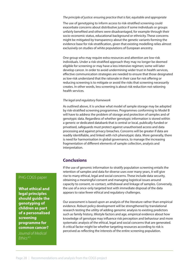#### *The principle of justice: ensuring practice that is fair, equitable and appropriate*

The use of genotyping to inform access to risk-stratified screening could exacerbate concerns about distributive justice if some individuals or groups unfairly benefited and others were disadvantaged, for example through their socio-economic status, educational background or ethnicity. These concerns might be mitigated by transparency about the genetic variants forming the evidence base for risk-stratification, given that existing modelling relies almost exclusively on studies of white populations of European ancestry.

One group who may require extra resources and attention are low-risk individuals. Under a risk-stratified approach they may no longer be deemed eligible for screening or may have a less intensive regimen; some will later develop cancer. In order to avoid undermining wider trust in health services, effective communication strategies are needed to ensure that those designated as low-risk understand that the rationale in their case for not offering or reducing screening is to mitigate or avoid the risks that screening necessarily creates. In other words, less screening is about risk reduction not rationing health services.

#### *The legal and regulatory framework*

As outlined above, it is unclear what model of sample storage may be adopted by risk-stratified screening programmes. Programmes conforming to Model B will have to address the problem of storage and protection of samples and of genotypic data. Regardless of whether genotypic information is stored within a generic or dedicated databank that is central or local, publically-funded or privatised, safeguards must protect against unauthorised access and data processing and against privacy breaches. Concerns will be greater if data are readily identifiable, and linked with rich phenotypic data. More generally, there is need for harmonisation in global governance, to manage the increasing fragmentation of different elements of sample collection, analysis and interpretation.

#### **Conclusions**

If the use of genomic information to stratify population screening entails the retention of samples and data for diverse uses over many years, it will give rise to many ethical, legal and social concerns. These include data security, obtaining a meaningful consent and managing logistical issues around capacity to consent, re-contact, withdrawal and linkage of samples. Conversely, the use of a once-only targeted test with immediate disposal of the data appears to raise fewer ethical and regulatory challenges.

Our assessment is based upon an analysis of the literature rather than empirical evidence. Robust policy development will be strengthened by translational research testing the utility of adding genomic analysis to existing predictors such as family history, lifestyle factors and age, empirical evidence about how knowledge of genotype may influence risk perception and behaviour and more systematic analysis of the ethical, legal and social concerns that are generated. A critical factor might be whether targeting resources according to risk is perceived as reflecting the interests of the entire screening population.

#### PHG COGS paper

**What ethical and legal principles should guide the genotyping of children as part of a personalised screening programme for common cancer?** 

*Journal of Medical Ethics 4.5*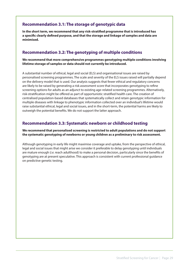## **Recommendation 3.1: The storage of genotypic data**

**In the short term, we recommend that any risk-stratified programme that is introduced has a specific clearly defined purpose, and that the storage and linkage of samples and data are minimised.** 

# **Recommendation 3.2: The genotyping of multiple conditions**

#### **We recommend that more comprehensive programmes genotyping multiple conditions involving lifetime storage of samples or data should not currently be introduced.**

A substantial number of ethical, legal and social (ELS) and organisational issues are raised by personalised screening programmes. The scale and severity of the ELS issues raised will partially depend on the delivery model that is used. Our analysis suggests that fewer ethical and regulatory concerns are likely to be raised by generating a risk assessment score that incorporates genotyping to refine screening options for adults as an adjunct to existing age-related screening programmes. Alternatively, risk-stratification might be offered as part of opportunistic stratified health care. The creation of centralised population-based databases that systematically collect and retain genotypic information for multiple diseases with linkage to phenotypic information collected over an individual's lifetime would raise substantial ethical, legal and social issues, and in the short-term, the potential harms are likely to outweigh the potential benefits. We do not support the latter approach.

### **Recommendation 3.3: Systematic newborn or childhood testing**

#### **We recommend that personalised screening is restricted to adult populations and do not support the systematic genotyping of newborns or young children as a preliminary to risk assessment.**

Although genotyping in early life might maximise coverage and uptake, from the perspective of ethical, legal and social issues that might arise we consider it preferable to delay genotyping until individuals are mature enough (*i.e.* reach adulthood) to make a personal decision, particularly since the benefits of genotyping are at present speculative. This approach is consistent with current professional guidance on predictive genetic testing.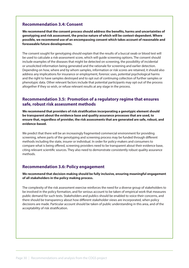### **Recommendation 3.4: Consent**

**We recommend that the consent process should address the benefits, harms and uncertainties of genotyping and risk assessment, the precise nature of which will be context-dependent. Where possible, we recommend use of an encompassing consent which takes account of reasonable and foreseeable future developments.**

The consent sought for genotyping should explain that the results of a buccal swab or blood test will be used to calculate a risk-assessment score, which will guide screening options. The consent should include examples of the diseases that might be detected on screening, the possibility of incidental or unsolicited information being generated and the rationale for screening and earlier detection. Depending on how, where and by whom samples, information or risk scores are retained, it should also address any implications for insurance or employment, forensic uses, potential psychological harms and the right to have samples destroyed and to opt out of continuing collection of further samples or phenotypic data. Other relevant factors include that potential participants may opt out of the process altogether if they so wish, or refuse relevant results at any stage in the process.

### **Recommendation 3.5: Promotion of a regulatory regime that ensures safe, robust risk assessment methods**

**We recommend that providers of risk stratification incorporating a genotypic element should be transparent about the evidence base and quality assurance processes that are used, to ensure that, regardless of provider, the risk assessments that are generated are safe, robust, and evidence-based.** 

We predict that there will be an increasingly fragmented commercial environment for providing screening, where parts of the genotyping and screening process may be funded through different methods including the state, insurer or individual. In order for policy-makers and consumers to compare what is being offered, screening providers need to be transparent about their evidence base, citing relevant scientific sources. They also need to demonstrate consistently robust quality assurance methods.

### **Recommendation 3.6: Policy engagement**

**We recommend that decision-making should be fully inclusive, ensuring meaningful engagement of all stakeholders in the policy making process.**

The complexity of the risk assessment exercise reinforces the need for a diverse group of stakeholders to be involved in the policy formation, and for serious account to be taken of empirical work that measures public demand for such tests. Stakeholders and publics should be enabled to voice their concerns, and there should be transparency about how different stakeholder views are incorporated, when policy decisions are made. Particular account should be taken of public understanding in this area, and of the acceptability of risk stratification.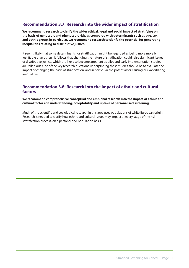# **Recommendation 3.7: Research into the wider impact of stratification**

**We recommend research to clarify the wider ethical, legal and social impact of stratifying on the basis of genotypic and phenotypic risk, as compared with determinants such as age, sex and ethnic group. In particular, we recommend research to clarify the potential for generating inequalities relating to distributive justice.** 

It seems likely that some determinants for stratification might be regarded as being more morally justifiable than others. It follows that changing the nature of stratification could raise significant issues of distributive justice, which are likely to become apparent as pilot and early implementation studies are rolled out. One of the key research questions underpinning these studies should be to evaluate the impact of changing the basis of stratification, and in particular the potential for causing or exacerbating inequalities.

### **Recommendation 3.8: Research into the impact of ethnic and cultural factors**

**We recommend comprehensive conceptual and empirical research into the impact of ethnic and cultural factors on understanding, acceptability and uptake of personalised screening.**

Much of the scientific and sociological research in this area uses populations of white European origin. Research is needed to clarify how ethnic and cultural issues may impact at every stage of the risk stratification process, on a personal and population basis.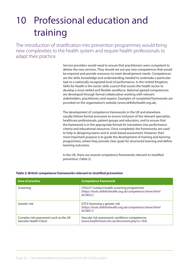# 10 Professional education and training

The introduction of stratification into prevention programmes would bring new complexities to the health system and require health professionals to adapt their practice.

> Service providers would need to ensure that practitioners were competent to deliver the new services. They should set out any new competences that would be required and provide resources to meet development needs. Competences are the skills, knowledge and understanding needed to undertake a particular task to a nationally recognized level of performance. In the United Kingdom, Skills for Health is the sector skills council that assists the health sector to develop a more skilled and flexible workforce. National agreed competences are developed through formal collaborative working with relevant stakeholders, practitioners and experts. Examples of completed frameworks are provided on the organisation's website (www.skillsforhealth.org.uk).

> The development of competence frameworks in the UK and elsewhere usually follows formal processes to ensure inclusion of the relevant specialists, healthcare professionals, patient groups and educators, and to ensure that the framework is in the appropriate format for translation into performance criteria and educational resources. Once completed, the frameworks are used to help in designing teams and in work-based assessment. However, their most important purpose is to guide the development of training and learning programmes, where they provide clear goals for structured learning and define learning outcomes.

In the UK, there are several competence frameworks relevant to stratified prevention (Table 2).

| <b>Area of practice</b>                                         | <b>Competence framework</b>                                                                                            |
|-----------------------------------------------------------------|------------------------------------------------------------------------------------------------------------------------|
| Screening                                                       | CHS227 Conduct health screening programmes<br>(https://tools.skillsforhealth.org.uk/competence/show/html/<br>id/2852/) |
| Genetic risk                                                    | GTC6 Assessing a genetic risk<br>(https://tools.skillsforhealth.org.uk/competence/show/html/<br>id/2601/               |
| Complex risk assessment such as the UK<br>Vascular Health Check | Vascular risk assessment: workforce competences<br>(www.healthcheck.nhs.uk/document.php?o=164)                         |

#### **Table 2: British competence frameworks relevant to stratified prevention**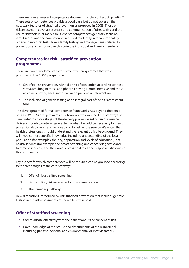There are several relevant competence documents in the context of genetics $32$ . These sets of competences provide a good basis but do not cover all the necessary features of stratified prevention as proposed in COGS. Those on risk assessment cover assessment and communication of disease risk and the use of risk tools in primary care. Genetics competences generally focus on rare diseases and the competences required to identify, refer appropriately, order and interpret tests, take a family history and manage issues related to prevention and reproductive choice in the individual and family members.

### **Competences for risk - stratified prevention programmes**

There are two new elements to the preventive programmes that were proposed in the COGS programme:

- o Stratified risk prevention, with tailoring of prevention according to those strata, resulting in those at higher risk having a more intensive and those at less risk having a less intensive, or no preventive intervention
- o The inclusion of genetic testing as an integral part of the risk assessment tool.

The development of formal competence frameworks was beyond the remit of COGS WP7. As a step towards this, however, we examined the pathways of care under the three stages of the delivery process as set out in our service delivery models to note in general terms what it would be necessary for health professionals to know and be able to do to deliver the service. We noted that health professionals should understand the relevant policy background. They will need context-specific knowledge including understanding of the local population (for example ethnicity, deprivation and levels of education), local health services (for example the breast screening and cancer diagnostic and treatment services), and their own professional roles and responsibilities within this programme.

Key aspects for which competences will be required can be grouped according to the three stages of the care pathway:

- 1. Offer of risk stratified screening
- 2. Risk profiling, risk assessment and communication
- 3. The screening pathway.

New dimensions introduced by risk-stratified prevention that includes genetic testing in the risk assessment are shown below in bold.

# **Offer of stratified screening**

- o Communicate effectively with the patient about the concept of risk
- o Have knowledge of the nature and determinants of the (cancer) risk including **genetic**, personal and environmental or lifestyle factors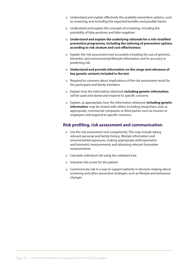- o Understand and explain effectively the available prevention options, such as screening, and including the expected benefits and possible harms
- o Understand and explain the concepts of screening, including the possibility of false positives and false negatives
- o **Understand and explain the underlying rationale for a risk-stratified prevention programme, including the tailoring of prevention options according to risk stratum and cost-effectiveness**
- o Explain the risk assessment tool accurately including the use of genomic, biometric and environmental/lifestyle information and its accuracy in predicting risk
- o **Understand and provide information on the range and relevance of key genetic variants included in the test**
- o Respond to concerns about implications of the risk assessment result for the participant and family members
- o Explain how the information obtained, **including genetic information**, will be used and stored and respond to specific concerns
- o Explain, as appropriate, how the information obtained, **including genetic information**, may be shared with others including researchers, and, as appropriate, commercial companies or third parties such as insurers or employers and respond to specific concerns.

#### **Risk profiling, risk assessment and communication**

- o Use the risk assessment tool competently. This may include taking relevant personal and family history, lifestyle information and environmental exposures, making appropriate anthropometric and biometric measurements and obtaining relevant biomarker measurements
- o Calculate individual risk using the validated tool
- o Interpret risk scores for the patient
- o Communicate risk in a way to support patients in decision-making about screening and other preventive strategies such as lifestyle and behaviour changes.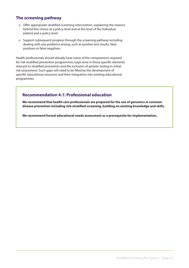# **The screening pathway**

- o Offer appropriate stratified screening intervention, explaining the reasons behind this choice at a policy level and at the level of the individual patient and a policy level
- o Support subsequent progress through the screening pathway including dealing with any problems arising, such as positive test results, false positives or false negatives.

Health professionals should already have many of the competences required for risk-stratified prevention programmes. Gaps arise in those specific elements relevant to stratified prevention and the inclusion of genetic testing in initial risk assessment. Such gaps will need to be filled by the development of specific educational resources and their integration into existing educational programmes.

# **Recommendation 4.1: Professional education**

**We recommend that health care professionals are prepared for the use of genomics in common disease prevention including risk-stratified screening, building on existing knowledge and skills.**

**We recommend formal educational needs assessment as a prerequisite for implementation.**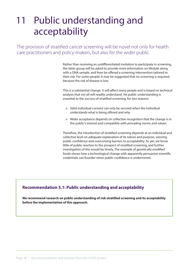# 11 Public understanding and acceptability

The provision of stratified cancer screening will be novel not only for health care practitioners and policy-makers, but also for the wider public.

> Rather than receiving an undifferentiated invitation to participate in screening, the latter group will be asked to provide more information on lifestyle along with a DNA sample, and then be offered a screening intervention tailored to their risk. For some people, it may be suggested that no screening is required, because the risk of disease is low.

> This is a substantial change. It will affect many people and is based on technical analysis that not all will readily understand. Yet public understanding is essential to the success of stratified screening, for two reasons:

- o Valid individual consent can only be secured when the individual understands what is being offered and why
- o Wider acceptance depends on collective recognition that the change is in the public's interest and compatible with prevailing norms and values.

Therefore, the introduction of stratified screening depends at an individual and collective level on adequate explanation of its nature and purpose, winning public confidence and overcoming barriers to acceptability. As yet, we know little of public reaction to the prospect of stratified screening, and further investigation of this would be timely. The example of genetically modified foods shows how a technological change with apparently persuasive scientific credentials can founder when public confidence is undermined.

### **Recommendation 5.1: Public understanding and acceptability**

**We recommend research on public understanding of risk stratified screening and its acceptability before the implementation of this approach.**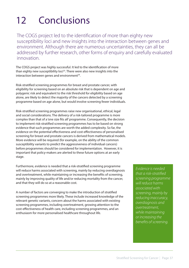# 12 Conclusions

The COGS project led to the identification of more than eighty new susceptibility loci and new insights into the interaction between genes and environment. Although there are numerous uncertainties, they can all be addressed by further research, other forms of enquiry and carefully evaluated innovation.

The COGS project was highly successful. It led to the identification of more than eighty new susceptibility loci<sup>33</sup>. There were also new insights into the interaction between genes and environment<sup>34</sup>.

Risk-stratified screening programmes for breast and prostate cancer, with eligibility for screening based on an absolute risk that is dependent on age and polygenic risk and equivalent to the risk threshold for eligibility based on age alone, are likely to detect the majority of the cancers detected by a screening programme based on age alone, but would involve screening fewer individuals.

Risk-stratified screening programmes raise new organisational, ethical, legal and social considerations. The delivery of a risk-tailored programme is more complex than that of a 'one size fits all' programme. Consequently, the decision to implement risk-stratified screening programmes has to be based on strong evidence that such programmes are worth the added complexity. So far, the evidence on the potential effectiveness and cost-effectiveness of personalised screening for breast and prostate cancers is derived from mathematical models. More evidence will be required (for example, on the ability of the common susceptibility variants to predict the aggressiveness of individual cancers) before programmes should be considered for implementation. However, it is important that policy-makers are alerted to these future options at an early stage.

Furthermore, evidence is needed that a risk-stratified screening programme will reduce harms associated with screening, mainly by reducing overdiagnosis and overtreatment, while maintaining or increasing the benefits of screening, mainly by improving quality of life and/or reducing mortality from the cancer, and that they will do so at a reasonable cost.

A number of factors are converging to make the introduction of stratified screening programmes more likely. These include increased knowledge of the relevant genetic variants, concern about the harms associated with existing screening programmes, including overtreatment, growing attention to the cost-effectiveness of health care, including screening programmes, and an enthusiasm for more personalised healthcare throughout life.

*Evidence is needed that a risk-stratified screening programme will reduce harms associated with screening, mainly by reducing inaccuracy, overdiagnosis and overtreatment, while maintaining or increasing the benefits of screening.*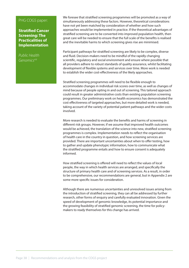#### PHG COGS paper:

**Stratified Cancer Screening: The Practicalities of Implementation**

*Public Health Genomics4.6*

We foresee that stratified screening programmes will be promoted as a way of simultaneously addressing these factors. However, theoretical considerations have not yet been matched by consideration of whether and how such approaches would be implemented in practice. If the theoretical advantages of stratified screening are to be converted into improved population health, then great care will be needed to ensure that the full scale of the benefits is realised and the inevitable harms to which screening gives rise are minimised.

Participant pathways for stratified screening are likely to be complex, diverse and fluid. Decision-makers need to be mindful of the rapidly changing scientific, regulatory and social environment and ensure where possible that all providers adhere to robust standards of quality assurance, whilst facilitating development of flexible systems and services over time. More work is needed to establish the wider cost-effectiveness of the likely approaches.

Stratified screening programmes will need to be flexible enough to accommodate changes in individual risk scores over time, as well as changes of mind because of people opting in and out of screening. This tailored approach could result in greater administrative costs than existing population screening programmes. Our preliminary work on health economics has demonstrated the cost effectiveness of targeted approaches, but more detailed work is needed, taking account of the variety of potential patient pathways and the wider costs involved.

More research is needed to evaluate the benefits and harms of screening in different risk groups. However, if we assume that improved health outcomes would be achieved, the translation of the science into new, stratified screening programmes is complex. Implementation needs to reflect the organisation of health care in the country in question, and how screening services are provided. There are important uncertainties about when to offer testing, how to gather and update phenotypic information, how to communicate what the stratified programme entails and how to ensure consent is adequately informed.

How stratified screening is offered will need to reflect the values of local people, the way in which health services are arranged, and specifically the structure of primary health care and of screening services. As a result, in order to be comprehensive, our recommendations are general, but in Appendix 2 are some more specific issues for consideration.

Although there are numerous uncertainties and unresolved issues arising from the introduction of stratified screening, they can all be addressed by further research, other forms of enquiry and carefully evaluated innovation. Given the speed of development of genomic knowledge, its potential importance and the growing feasibility of stratified genomic screening, the time for policymakers to ready themselves for this change has arrived.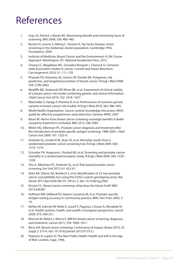# References

- 1. Gray JA, Patnick J, Blanks RG. Maximising benefit and minimising harm of screening. *BMJ* 2008; 336: 480–483.
- 2. Burton H, Levene S, Alberg C, Stewart A. Tay Sachs Disease carrier screening in the Ashkenazi Jewish population. Cambridge: PHG Foundation, 2009.
- 3. Institute of Medicine. Breast Cancer and the Environment: A Life Course Approach. Washington, DC: National Academies Press, 2012.
- 4. Chung CC, Magalhaes WC, Gonzalez-Bosquet J, Chanock SJ. Genomewide association studies in cancer–current and future directions. Carcinogenesis 2010; 31: 111–120
- 5. Pharoah PD, Antoniou AC, Easton DF, Ponder BA. Polygenes, risk prediction, and targeted prevention of breast cancer. N Engl J Med 2008; 358: 2796-2803.
- 6. Mealiffe ME, Stokowski RP, Rhees BK, *et al.* Assessment of clinical validity of a breast cancer risk model combining genetic and clinical information. J Natl Cancer Inst 2010; 102: 1618–1627.
- 7. Wacholder S, Hartge P, Prentice R, *et al*. Performance of common genetic variants in breast-cancer risk models. N Engl J Med 2010; 362: 986–993.
- 8. World Health Organisation. Cancer control: knowledge into action: WHO guide for effective programmes: early detection. Geneva: WHO, 2007
- 9. Baum M. Harms from breast cancer screening outweigh benefits if death caused by treatment is included. BMJ 2013; 346: f385.
- 10. Welch HG, Albertsen PC. Prostate cancer diagnosis and treatment after the introduction of prostate-specific antigen screening: 1986-2005. J Natl Cancer Inst 2009; 101: 1325-9.
- 11. Andriole GL, Grubb III RL, Buys SS, *et al*. Mortality results from a randomized prostate-cancer screening trial. N Engl J Med 2009; 360: 1310–1319.
- 12. Schroder FH, Hugosson J, Roobol MJ, *et al*. Screening and prostate-cancer mortality in a randomized European study. N Engl J Med 2009; 360: 1320– 1328.
- 13. Zhu X, Albertsen PC, Andriole GL, *et al*. Risk-based prostate cancer screening. Eur Urol 2012; 61: 652-61.
- 14. Eeles RA, Olama AA, Benlloch S, *et al*. Identification of 23 new prostate cancer susceptibility loci using the iCOGS custom genotyping array. Nat Genet 2013 Apr;45(4):385-91, 391e1-2. doi: 10.1038/ng.2560.
- 15. Kirwan CC. Breast cancer screening: what does the future hold? *BMJ*  2013;346:f87
- 16. Hoffman RM, Gilliland FD, Adams-Cameron M, *et al*. Prostate-specific antigen testing accuracy in community practice. BMC Fam Pract 2002; 3: 19.
- 17. McKee M, Suhrcke M, Nolte E, Lessof S, Figueras J, Duran A, Menabde N: *et al*. Health systems, health, and wealth: a European perspective. Lancet 2009; 373: 349-351.
- 18. Morrow M, Waters J, Morris E. MRI for breast cancer screening, diagnosis, and treatment. Lancet 2011; 378: 1804–1811.
- 19. Berry DA. Breast cancer screening: Controversy of impact. Breast 2013; 22 Suppl 2: S73-6. doi: 10.1016/j.breast.2013.07.013.]
- 20. Petersen A, Lupton D. The New Public Health: Health and Self in the Age of Risk. London, Sage, 1996.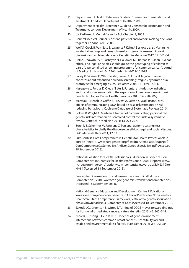- 21. Department of Health. Reference Guide to Consent for Examination and Treatment. London: Department of Health, 2009.
- 22. Department of Health. Reference Guide to Consent for Examination and Treatment. London: Department of Health, 2009.
- 23. UK Parliament. Mental Capacity Act. Chapter 9, 2005.
- 24. General Medical Council. Consent: patients and doctors making decisions together. London: GMC 2008.
- 25. Wolf S, Crock B, Van Ness B, Lawrenz F, Kahn J, Beskow L *et al*. Managing incidental findings and research results in genomic research involving biobanks and archived data sets. Genetics in Medicine 2012; 14: 361-84.
- 26. Hall A, Chowdhury S, Pashayan N, Hallowell N, Pharoah P, Burton H. What ethical and legal principles should guide the genotyping of children as part of a personalised screening programme for common cancer? Journal of Medical Ethics doi:10.1136/medethics-2012-101079
- 27. Bailey D, Skinner D, Whitmarsh I, Powell C. Ethical, legal and social concerns about expanded newborn screening: fragile x syndrome as a prototype for emerging issues. Pediatrics 2008; 121: e693-e704.
- 28. Hasegawa L, Fergus K, Ojeda N, Au S, Parental attitudes toward ethical and social issues surrounding the expansion of newborn screening using new technologies. Public Health Genomics 2011; 14: 298-306.]
- 29. Marteau T, French D, Griffin S, Prevost A, Sutton S, Watkinson C *et al*. Effects of communicating DNA-based disease risk estimates on riskreducing behaviours. Cochrane Database of Systematic Reviews 2010
- 30. Collins R, Wright A, Marteau T. Impact of communicating personalized genetic risk information on perceived control over risk: A systematic review. Genetics in Medicine 2011; 13: 273-277.
- 31. Bunnik E, Schermer M, Janssens C. Personal genome testing: test characteristics to clarify the discourse on ethical, legal and societal issues. BMC Medical Ethics 2011; 12: 11.
- 32. EuroGentest. Core Competences in Genetics for Health Professionals in Europe (Report). www.eurogentest.org/fileadmin/templates/eugt/pdf/ CoreCompetence03GeneralistsAndNonGeneticSpecialists.pdf (Accessed 18 September 2013).

National Coalition for Health Professionals Education in Genetics. Core Competencies in Genetics for Health Professionals, 2007 (Report). www. nchpeg.org/index.php?option=com\_content&view=article&id=237&Item id=84 (Accessed 18 September 2013).

Centers for Disease Control and Prevention. Genomic Workforce Competencies, 2001. www.cdc.gov/genomics/translation/competencies/ (Accessed 18 September 2013).

National Genetics Education and Development Centre, UK. National Workforce Competence for Genetics in Clinical Practice for Non-Genetics Healthcare Staff: Competence Framework, 2007 www.geneticseducation. nhs.uk/downloads/0031Competence1.pdf (Accessed 18 September 2013).

- 33. Sakoda LC, Jorgenson E, Witte JS. Turning of COGS moves forward findings for hormonally mediated cancers. Nature Genetics 2013; 45: 345–348.
- 34. Nickels S, Truong T, Hein R, *et al*. Evidence of gene-environment interactions between common breast cancer susceptibility loci and established environmental risk factors. PLoS Genet 2013; 9: e1003284.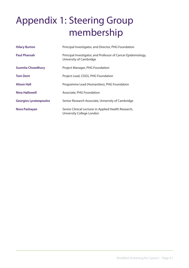# Appendix 1: Steering Group membership

| <b>Hilary Burton</b>          | Principal Investigator, and Director, PHG Foundation                                     |
|-------------------------------|------------------------------------------------------------------------------------------|
| <b>Paul Pharoah</b>           | Principal Investigator, and Professor of Cancer Epidemiology,<br>University of Cambridge |
| <b>Susmita Chowdhury</b>      | Project Manager, PHG Foundation                                                          |
| <b>Tom Dent</b>               | Project Lead, COGS, PHG Foundation                                                       |
| <b>Alison Hall</b>            | Programme Lead (Humanities), PHG Foundation                                              |
| <b>Nina Hallowell</b>         | Associate, PHG Foundation                                                                |
| <b>Georgios Lyratzopoulos</b> | Senior Research Associate, University of Cambridge                                       |
| Nora Pashayan                 | Senior Clinical Lecturer in Applied Health Research,<br>University College London        |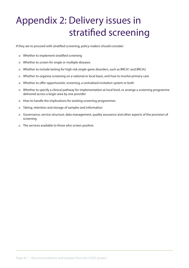# Appendix 2: Delivery issues in stratified screening

If they are to proceed with stratified screening, policy-makers should consider:

- o Whether to implement stratified screening
- o Whether to screen for single or multiple diseases
- o Whether to include testing for high-risk single-gene disorders, such as BRCA1 and BRCA2
- o Whether to organise screening on a national or local basis, and how to involve primary care
- o Whether to offer opportunistic screening, a centralised invitation system or both
- o Whether to specify a clinical pathway for implementation at local level, or arrange a screening programme delivered across a larger area by one provider
- o How to handle the implications for existing screening programmes
- o Taking, retention and storage of samples and information
- o Governance, service structure, data management, quality assurance and other aspects of the provision of screening
- o The services available to those who screen positive.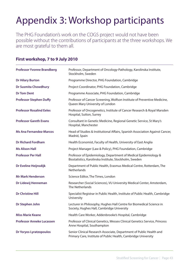# Appendix 3: Workshop participants

The PHG Foundation's work on the COGS project would not have been possible without the contributions of participants at the three workshops. We are most grateful to them all.

| <b>Professor Yvonne Brandberg</b> | Professor, Department of Oncology-Pathology, Karolinska Institute,<br>Stockholm, Sweden                                               |
|-----------------------------------|---------------------------------------------------------------------------------------------------------------------------------------|
| <b>Dr Hilary Burton</b>           | Programme Director, PHG Foundation, Cambridge                                                                                         |
| <b>Dr Susmita Chowdhury</b>       | Project Coordinator, PHG Foundation, Cambridge                                                                                        |
| <b>Dr Tom Dent</b>                | Programme Associate, PHG Foundation, Cambridge                                                                                        |
| <b>Professor Stephen Duffy</b>    | Professor of Cancer Screening, Wolfson Institute of Preventive Medicine,<br>Queen Mary University of London                           |
| <b>Professor Rosalind Eeles</b>   | Professor of Oncogenetics, Institute of Cancer Research & Royal Marsden<br>Hospital, Sutton, Surrey                                   |
| <b>Professor Gareth Evans</b>     | Consultant in Genetic Medicine, Regional Genetic Service, St Mary's<br>Hospital, Manchester                                           |
| <b>Ms Ana Fernandez-Marcos</b>    | Head of Studies & Institutional Affairs, Spanish Association Against Cancer,<br>Madrid, Spain                                         |
| <b>Dr Richard Fordham</b>         | Health Economist, Faculty of Health, University of East Anglia                                                                        |
| <b>Ms Alison Hall</b>             | Project Manager (Law & Policy), PHG Foundation, Cambridge                                                                             |
| <b>Professor Per Hall</b>         | Professor of Epidemiology, Department of Medical Epidemiology &<br>Biostatistics, Karolinska Institute, Stockholm, Sweden             |
| Dr Eveline Heijnsdijk             | Department of Public Health, Erasmus Medical Centre, Rotterdam, The<br>Netherlands                                                    |
| <b>Mr Mark Henderson</b>          | Science Editor, The Times, London                                                                                                     |
| Dr Lidewij Henneman               | Researcher (Social Sciences), VU University Medical Center, Amsterdam,<br>The Netherlands                                             |
| <b>Dr Christine Hill</b>          | Specialist Registrar in Public Health, Institute of Public Health, Cambridge<br>University                                            |
| Dr Stephen John                   | Lecturer in Philosophy, Hughes Hall Centre for Biomedical Science in<br>Society, Hughes Hall, Cambridge University                    |
| <b>Miss Marie Keane</b>           | Health Care Worker, Addenbrooke's Hospital, Cambridge                                                                                 |
| <b>Professor Anneke Lucassen</b>  | Professor of Clinical Genetics, Wessex Clinical Genetics Service, Princess<br>Anne Hospital, Southampton                              |
| <b>Dr Yoryos Lyratzopoulos</b>    | Senior Clinical Research Associate, Department of Public Health and<br>Primary Care, Institute of Public Health, Cambridge University |

### **First workshop, 7 to 9 July 2010**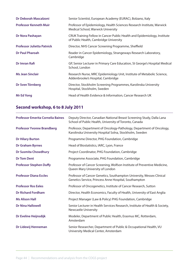| Dr Deborah Mascalzoni             | Senior Scientist, European Academy (EURAC), Bolzano, Italy                                                         |
|-----------------------------------|--------------------------------------------------------------------------------------------------------------------|
| <b>Professor Kenneth Muir</b>     | Professor of Epidemiology, Health Sciences Research Institute, Warwick<br>Medical School, Warwick University       |
| Dr Nora Pashayan                  | CRUK Training Fellow in Cancer Public Health and Epidemiology, Institute<br>of Public Health, Cambridge University |
| <b>Professor Julietta Patnick</b> | Director, NHS Cancer Screening Programme, Sheffield                                                                |
| <b>Dr Paul Pharoah</b>            | Reader in Cancer Epidemiology, Strangeways Research Laboratory,<br>Cambridge                                       |
| <b>Dr Imran Rafi</b>              | GP, Senior Lecturer in Primary Care Education, St George's Hospital Medical<br>School, London                      |
| <b>Ms Jean Sinclair</b>           | Research Nurse, MRC Epidemiology Unit, Institute of Metabolic Science,<br>Addenbrooke's Hospital, Cambridge        |
| Dr Sven Törnberg                  | Director, Stockholm Screening Programmes, Karolinska University<br>Hospital, Stockholm, Sweden                     |
| <b>Mr Ed Yong</b>                 | Head of Health Evidence & Information, Cancer Research UK                                                          |

# **Second workshop, 6 to 8 July 2011**

| <b>Professor Emerita Cornelia Baines</b> | Deputy Director, Canadian National Breast Screening Study, Dalla Lana<br>School of Public Health, University of Toronto, Canada |
|------------------------------------------|---------------------------------------------------------------------------------------------------------------------------------|
| <b>Professor Yvonne Brandberg</b>        | Professor, Department of Oncology-Pathology, Department of Oncology,<br>Karolinska University Hospital Solna, Stockholm, Sweden |
| <b>Dr Hilary Burton</b>                  | Programme Director, PHG Foundation, Cambridge                                                                                   |
| <b>Dr Graham Byrnes</b>                  | Head of Biostatistics, IARC, Lyon, France                                                                                       |
| <b>Dr Susmita Chowdhury</b>              | Project Coordinator, PHG Foundation, Cambridge                                                                                  |
| <b>Dr Tom Dent</b>                       | Programme Associate, PHG Foundation, Cambridge                                                                                  |
| <b>Professor Stephen Duffy</b>           | Professor of Cancer Screening, Wolfson Institute of Preventive Medicine,<br>Queen Mary University of London                     |
| <b>Professor Diana Eccles</b>            | Professor of Cancer Genetics, Southampton University, Wessex Clinical<br>Genetics Service, Princess Anne Hospital, Southampton  |
| <b>Professor Ros Eeles</b>               | Professor of Oncogenetics, Institute of Cancer Research, Sutton                                                                 |
| <b>Dr Richard Fordham</b>                | Director, Health Economics, Faculty of Health, University of East Anglia                                                        |
| <b>Ms Alison Hall</b>                    | Project Manager (Law & Policy) PHG Foundation, Cambridge                                                                        |
| <b>Dr Nina Hallowell</b>                 | Senior Lecturer in Health Services Research, Institute of Health & Society,<br><b>Newcastle University</b>                      |
| Dr Eveline Heijnsdijk                    | Modeler, Department of Public Health, Erasmus MC, Rotterdam,<br>Amsterdam                                                       |
| Dr Lidewij Henneman                      | Senior Researcher, Department of Public & Occupational Health, VU<br>University Medical Center, Amsterdam                       |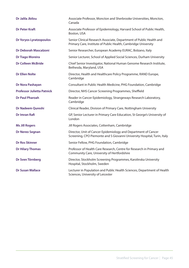| <b>Dr Jalila Jbilou</b>           | Associate Professor, Moncton and Sherbrooke Universities, Moncton,<br>Canada                                                               |
|-----------------------------------|--------------------------------------------------------------------------------------------------------------------------------------------|
| <b>Dr Peter Kraft</b>             | Associate Professor of Epidemiology, Harvard School of Public Health,<br>Boston, USA                                                       |
| <b>Dr Yoryos Lyratzopoulos</b>    | Senior Clinical Research Associate, Department of Public Health and<br>Primary Care, Institute of Public Health, Cambridge University      |
| <b>Dr Deborah Mascalzoni</b>      | Senior Researcher, European Academy EURAC, Bolzano, Italy                                                                                  |
| <b>Dr Tiago Moreira</b>           | Senior Lecturer, School of Applied Social Sciences, Durham University                                                                      |
| <b>Dr Colleen McBride</b>         | Chief Senior Investigator, National Human Genome Research Institute,<br>Bethesda, Maryland, USA                                            |
| <b>Dr Ellen Nolte</b>             | Director, Health and Healthcare Policy Programme, RAND Europe,<br>Cambridge                                                                |
| Dr Nora Pashayan                  | Consultant in Public Health Medicine, PHG Foundation, Cambridge                                                                            |
| <b>Professor Julietta Patnick</b> | Director, NHS Cancer Screening Programmes, Sheffield                                                                                       |
| <b>Dr Paul Pharoah</b>            | Reader in Cancer Epidemiology, Strangeways Research Laboratory,<br>Cambridge                                                               |
| <b>Dr Nadeem Qureshi</b>          | Clinical Reader, Division of Primary Care, Nottingham University                                                                           |
| <b>Dr Imran Rafi</b>              | GP, Senior Lecturer in Primary Care Education, St George's University of<br>London                                                         |
| <b>Ms Jill Rogers</b>             | Jill Rogers Associates, Cottenham, Cambridge                                                                                               |
| <b>Dr Nereo Segnan</b>            | Director, Unit of Cancer Epidemiology and Department of Cancer<br>Screening, CPO Piemonte and S Giovanni University Hospital, Turin, Italy |
| <b>Dr Ros Skinner</b>             | Senior Fellow, PHG Foundation, Cambridge                                                                                                   |
| <b>Dr Hilary Thomas</b>           | Professor of Health Care Research, Centre for Research in Primary and<br>Community Care, University of Hertfordshire                       |
| Dr Sven Törnberg                  | Director, Stockholm Screening Programmes, Karolinska University<br>Hospital, Stockholm, Sweden                                             |
| <b>Dr Susan Wallace</b>           | Lecturer in Population and Public Health Sciences, Department of Health<br>Sciences, University of Leicester                               |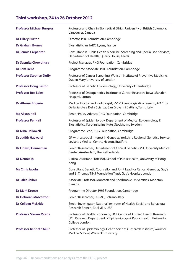# **Third workshop, 24 to 26 October 2012**

| <b>Professor Michael Burgess</b> | Professor and Chair in Biomedical Ethics, University of British Columbia,<br>Vancouver, Canada                                                                 |
|----------------------------------|----------------------------------------------------------------------------------------------------------------------------------------------------------------|
| <b>Dr Hilary Burton</b>          | Director, PHG Foundation, Cambridge                                                                                                                            |
| <b>Dr Graham Byrnes</b>          | Biostatistician, IARC, Lyons, France                                                                                                                           |
| <b>Dr Jennie Carpenter</b>       | Consultant in Public Health Medicine, Screening and Specialised Services,<br>Department of Health, Quarry House, Leeds                                         |
| <b>Dr Susmita Chowdhury</b>      | Project Manager, PHG Foundation, Cambridge                                                                                                                     |
| <b>Dr Tom Dent</b>               | Programme Associate, PHG Foundation, Cambridge                                                                                                                 |
| <b>Professor Stephen Duffy</b>   | Professor of Cancer Screening, Wolfson Institute of Preventive Medicine,<br>Queen Mary University of London                                                    |
| <b>Professor Doug Easton</b>     | Professor of Genetic Epidemiology, University of Cambridge                                                                                                     |
| <b>Professor Ros Eeles</b>       | Professor of Oncogenetics, Institute of Cancer Research, Royal Marsden<br>Hospital, Sutton                                                                     |
| <b>Dr Alfonso Frigerio</b>       | Medical Doctor and Radiologist, SSCVD Senologia di Screening, AO Citta<br>Della Salute e Della Scienza, San Giovanni Battista, Turin, Italy                    |
| <b>Ms Alison Hall</b>            | Senior Policy Adviser, PHG Foundation, Cambridge                                                                                                               |
| <b>Professor Per Hall</b>        | Professor of Epidemiology, Department of Medical Epidemiology &<br>Biostatistics, Karolinska Institute, Stockholm, Sweden                                      |
| <b>Dr Nina Hallowell</b>         | Programme Lead, PHG Foundation, Cambridge                                                                                                                      |
| <b>Dr Judith Hayward</b>         | GP with a special interest in Genetics, Yorkshire Regional Genetics Service,<br>Leylands Medical Centre, Heaton, Bradford                                      |
| Dr Lidewij Henneman              | Senior Researcher, Department of Clinical Genetics, VU University Medical<br>Center, Amsterdam, The Netherlands                                                |
| <b>Dr Dennis Ip</b>              | Clinical Assistant Professor, School of Public Health, University of Hong<br>Kong                                                                              |
| <b>Ms Chris Jacobs</b>           | Consultant Genetic Counsellor and Joint Lead for Cancer Genetics, Guy's<br>and St Thomas' NHS Foundation Trust, Guy's Hospital, London                         |
| Dr Jalila Jbilou                 | Associate Professor, Moncton and Sherbrooke Universities, Moncton,<br>Canada                                                                                   |
| <b>Dr Mark Kroese</b>            | Programme Director, PHG Foundation, Cambridge                                                                                                                  |
| Dr Deborah Mascalzoni            | Senior Researcher, EURAC, Bolzano, Italy                                                                                                                       |
| <b>Dr Colleen McBride</b>        | Senior Investigator, National Institutes of Health, Social and Behavioral<br>Research Branch, Rockville, USA                                                   |
| <b>Professor Steven Morris</b>   | Professor of Health Economics, UCL Centre of Applied Health Research,<br>UCL Research Department of Epidemiology & Public Health, University<br>College London |
| <b>Professor Kenneth Muir</b>    | Professor of Epidemiology, Health Sciences Research Institute, Warwick<br>Medical School, Warwick University                                                   |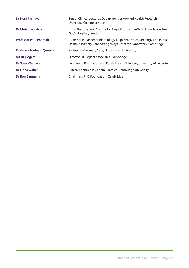| Dr Nora Pashayan                | Senior Clinical Lecturer, Department of Applied Health Research,<br>University College London                                             |
|---------------------------------|-------------------------------------------------------------------------------------------------------------------------------------------|
| <b>Dr Christine Patch</b>       | Consultant Genetic Counsellor, Guy's & St Thomas' NHS Foundation Trust,<br>Guy's Hospital, London                                         |
| <b>Professor Paul Pharoah</b>   | Professor in Cancer Epidemiology, Departments of Oncology and Public<br>Health & Primary Care, Strangeways Research Laboratory, Cambridge |
| <b>Professor Nadeem Qureshi</b> | Professor of Primary Care, Nottingham University                                                                                          |
| <b>Ms Jill Rogers</b>           | Director, Jill Rogers Associates, Cambridge                                                                                               |
| <b>Dr Susan Wallace</b>         | Lecturer in Population and Public Health Sciences, University of Leicester                                                                |
| <b>Dr Fiona Walter</b>          | Clinical Lecturer in General Practice, Cambridge University                                                                               |
| <b>Dr Ron Zimmern</b>           | Chairman, PHG Foundation, Cambridge                                                                                                       |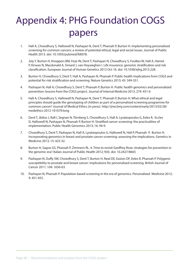# Appendix 4: PHG Foundation COGS papers

- 1. Hall A, Chowdhury S, Hallowell N, Pashayan N, Dent T, Pharoah P, Burton H. Implementing personalised screening for common cancers: a review of potential ethical, legal and social issues. Journal of Public Health 2013. doi: 10.1093/pubmed/fdt078.
- 2. Joly Y, Burton H, Knoppers BM, Feze IN, Dent T, Pashayan N, Chowdhury S, Foulkes W, Hall A, Hamet P, Kirwan N, Macdonald A, Simard J, van Hoyweghen I. Life insurance: genomic stratification and risk classification. European Journal of Human Genetics 2013 Oct 16. doi: 10.1038/ejhg.2013.228.
- 3. Burton H, Chowdhury S, Dent T, Hall A, Pashayan N, Pharoah P. Public health implications from COGS and potential for risk stratification and screening. Nature Genetics 2013; 45: 349-351.
- 4. Pashayan N, Hall A, Chowdhury S, Dent T, Pharoah P, Burton H. Public health genomics and personalized prevention: lessons from the COGS project. Journal of Internal Medicine 2013; 274: 451-6
- 5. Hall A, Chowdhury S, Hallowell N, Pashayan N, Dent T, Pharoah P, Burton H. What ethical and legal principles should guide the genotyping of children as part of a personalised screening programme for common cancer? Journal of Medical Ethics (in press). http://jme.bmj.com/content/early/2013/02/28/ medethics-2012-101079.long
- 6. Dent T, Jbilou J, Rafi I, Segnan N, Törnberg S, Chowdhury S, Hall A, Lyratzopoulos G, Eeles R, Eccles D, Hallowell N, Pashayan N, Pharoah P, Burton H. Stratified cancer screening: the practicalities of implementation. Public Health Genomics 2013; 16: 94-9.
- 7. Chowdhury S, Dent T, Pashayan N, Hall A, Lyratzopoulos G, Hallowell N, Hall P, Pharoah P, Burton H. Incorporating genomics in breast and prostate cancer screening: assessing the implications. Genetics in Medicine 2013; 15: 423-32.
- 8. Burton H, Sagoo GS, Pharoah P, Zimmern RL. 4. Time to revisit Geoffrey Rose: strategies for prevention in the genomic era? *I*talian Journal of Public Health 2012; 9(4). doi: 10.2427/8665
- 9. Pashayan N, Duffy SW, Chowdhury S, Dent T, Burton H, Neal DE, Easton DF, Eeles R, Pharoah P. Polygenic susceptibility to prostate and breast cancer: implications for personalised screening. British Journal of Cancer 2011; 104: 1656-63.
- 10. Pashayan N, Pharoah P. Population-based screening in the era of genomics. Personalized Medicine 2012; 9: 451-455.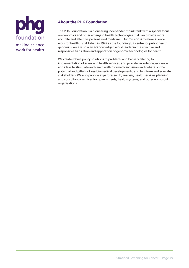

# **About the PHG Foundation**

The PHG Foundation is a pioneering independent think-tank with a special focus on genomics and other emerging health technologies that can provide more accurate and effective personalised medicine. Our mission is to make science work for health. Established in 1997 as the founding UK centre for public health genomics, we are now an acknowledged world leader in the effective and responsible translation and application of genomic technologies for health.

We create robust policy solutions to problems and barriers relating to implementation of science in health services, and provide knowledge, evidence and ideas to stimulate and direct well-informed discussion and debate on the potential and pitfalls of key biomedical developments, and to inform and educate stakeholders. We also provide expert research, analysis, health services planning and consultancy services for governments, health systems, and other non-profit organisations.